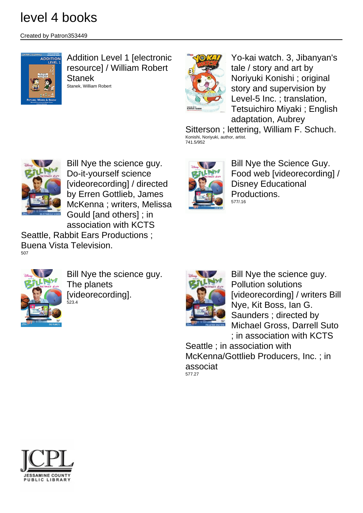Created by Patron353449



Addition Level 1 [electronic resource] / William Robert Stanek Stanek, William Robert



Yo-kai watch. 3, Jibanyan's tale / story and art by Noriyuki Konishi ; original story and supervision by Level-5 Inc. ; translation, Tetsuichiro Miyaki ; English adaptation, Aubrey

Sitterson ; lettering, William F. Schuch. Konishi, Noriyuki, author, artist. 741.5/952



Bill Nye the science guy. Do-it-yourself science [videorecording] / directed by Erren Gottlieb, James McKenna ; writers, Melissa Gould [and others] ; in association with KCTS

Seattle, Rabbit Ears Productions ; Buena Vista Television. 507



Bill Nye the science guy. The planets [videorecording]. -<br>523.4



Bill Nye the Science Guy. Food web [videorecording] / Disney Educational Productions. 577/.16



Bill Nye the science guy. Pollution solutions [videorecording] / writers Bill Nye, Kit Boss, Ian G. Saunders ; directed by Michael Gross, Darrell Suto ; in association with KCTS

Seattle ; in association with McKenna/Gottlieb Producers, Inc. ; in associat 577.27

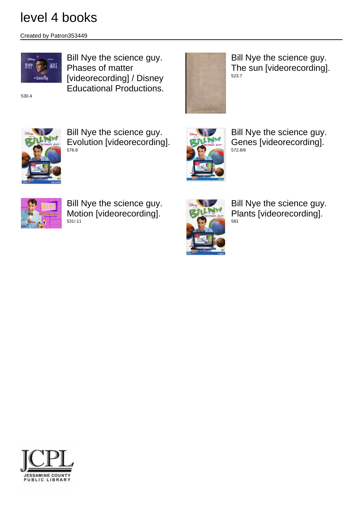Created by Patron353449



Bill Nye the science guy. Phases of matter [videorecording] / Disney Educational Productions.

530.4

Bill Nye the science guy. The sun [videorecording]. 523.7



Bill Nye the science guy. Evolution [videorecording]. 576.8



Bill Nye the science guy. Genes [videorecording]. 572.8/6



Bill Nye the science guy. Motion [videorecording]. 531/.11



Bill Nye the science guy. Plants [videorecording]. 581

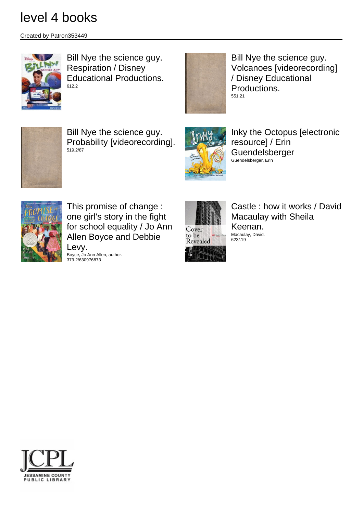Created by Patron353449



Bill Nye the science guy. Respiration / Disney Educational Productions. 612.2



Bill Nye the science guy. Volcanoes [videorecording] / Disney Educational Productions. 551.21



Bill Nye the science guy. Probability [videorecording]. 519.2/87



Inky the Octopus [electronic resource] / Erin Guendelsberger Guendelsberger, Erin



This promise of change : one girl's story in the fight for school equality / Jo Ann Allen Boyce and Debbie Levy.

Boyce, Jo Ann Allen, author. 379.2/630976873



Castle : how it works / David Macaulay with Sheila Keenan. Macaulay, David. 623/.19

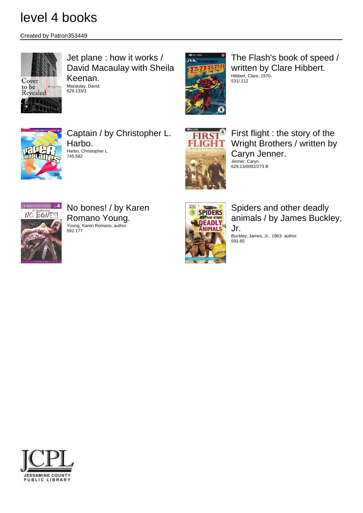629.133/3

Created by Patron353449



#### Jet plane : how it works / David Macaulay with Sheila Keenan. Macaulay, David.

 $11A$ 

The Flash's book of speed / written by Clare Hibbert. Hibbert, Clare, 1970- 531/.112



Captain / by Christopher L. Harbo. Harbo, Christopher L. 745.592



First flight : the story of the Wright Brothers / written by Caryn Jenner. Jenner, Caryn.



No bones! / by Karen Romano Young. Young, Karen Romano, author. 592.177



Spiders and other deadly animals / by James Buckley, Jr.

Buckley, James, Jr., 1963- author. 591.65

629.13/0092/273 B